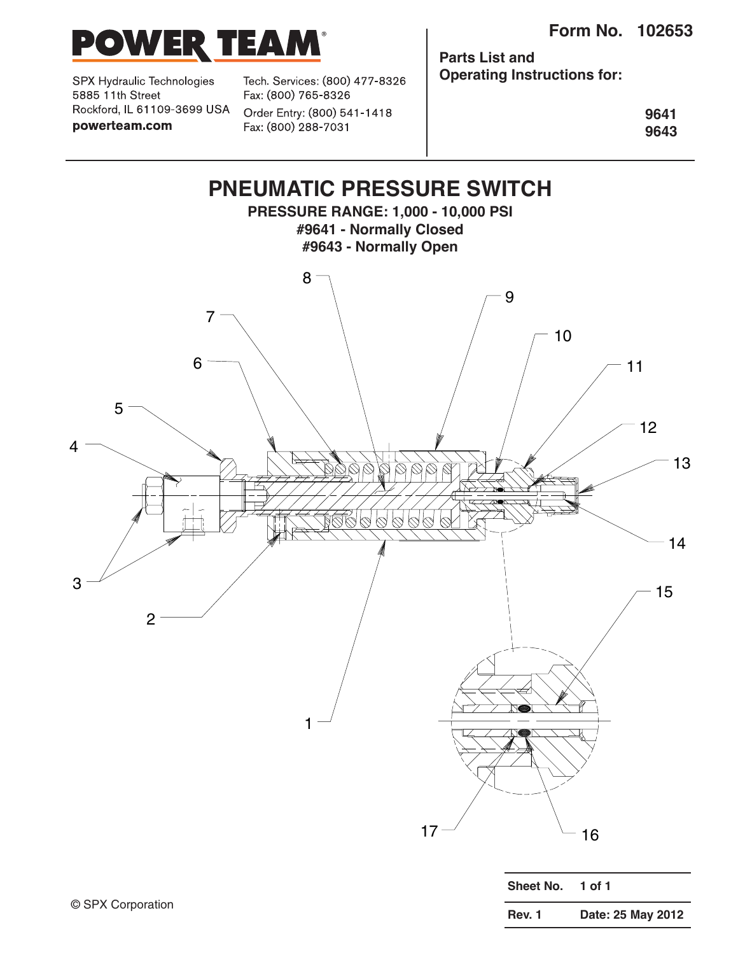

SPX Hydraulic Technologies 5885 11th Street Rockford, IL 61109-3699 USA powerteam.com

Tech. Services: (800) 477-8326 Fax: (800) 765-8326 Order Entry: (800) 541-1418 Fax: (800) 288-7031

**Parts List and Operating Instructions for:**

> **9641 9643**